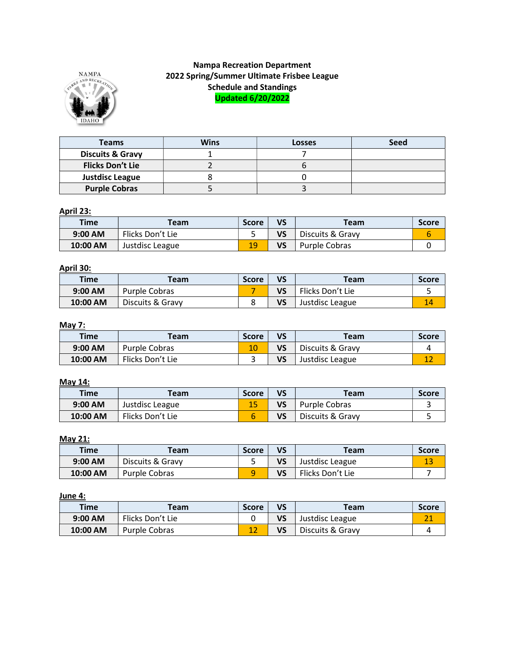

# Nampa Recreation Department 2022 Spring/Summer Ultimate Frisbee League Schedule and Standings Updated 6/20/2022

| Teams                       | <b>Wins</b> | <b>Losses</b> | <b>Seed</b> |
|-----------------------------|-------------|---------------|-------------|
| <b>Discuits &amp; Gravy</b> |             |               |             |
| <b>Flicks Don't Lie</b>     |             |               |             |
| <b>Justdisc League</b>      |             |               |             |
| <b>Purple Cobras</b>        |             |               |             |

#### April 23:

| <b>Time</b> | Team             | <b>Score</b> | VS | Team             | <b>Score</b> |
|-------------|------------------|--------------|----|------------------|--------------|
| $9:00$ AM   | Flicks Don't Lie | ـ            | VS | Discuits & Gravy |              |
| 10:00 AM    | Justdisc League  | 19           | VS | Purple Cobras    |              |

## April 30:

| <b>Time</b> | Team             | <b>Score</b> | VS | Team             | <b>Score</b> |
|-------------|------------------|--------------|----|------------------|--------------|
| $9:00$ AM   | Purple Cobras    |              | VS | Flicks Don't Lie |              |
| 10:00 AM    | Discuits & Gravy |              | VS | Justdisc League  | 14           |

#### May 7:

| <b>Time</b> | Team             | <b>Score</b> | VS | Team             | <b>Score</b> |
|-------------|------------------|--------------|----|------------------|--------------|
| $9:00$ AM   | Purple Cobras    | 10           | VS | Discuits & Gravy |              |
| 10:00 AM    | Flicks Don't Lie |              | VS | Justdisc League  |              |

### May 14:

| <b>Time</b> | <b>Team</b>      | <b>Score</b> | VS | Team             | <b>Score</b> |
|-------------|------------------|--------------|----|------------------|--------------|
| $9:00$ AM   | Justdisc League  | --           | VS | Purple Cobras    |              |
| 10:00 AM    | Flicks Don't Lie |              | VS | Discuits & Gravy |              |

#### May 21:

| <b>Time</b> | Team             | <b>Score</b> | VS | Team             | <b>Score</b> |
|-------------|------------------|--------------|----|------------------|--------------|
| $9:00$ AM   | Discuits & Gravy |              | VS | Justdisc League  | ᆂ            |
| 10:00 AM    | Purple Cobras    |              | VS | Flicks Don't Lie |              |

#### June 4:

| <b>Time</b> | Team             | <b>Score</b> | VS | Team             | <b>Score</b> |
|-------------|------------------|--------------|----|------------------|--------------|
| $9:00$ AM   | Flicks Don't Lie |              | VS | Justdisc League  |              |
| 10:00 AM    | Purple Cobras    | --           | VS | Discuits & Gravy |              |